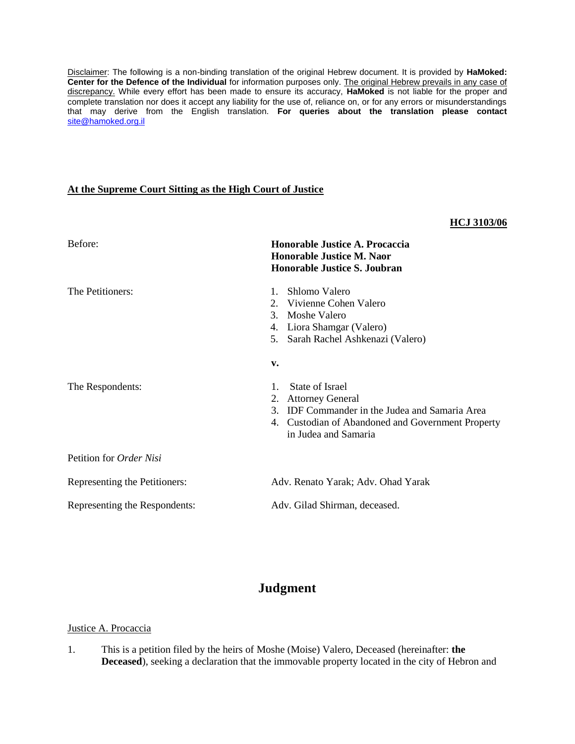Disclaimer: The following is a non-binding translation of the original Hebrew document. It is provided by **HaMoked: Center for the Defence of the Individual** for information purposes only. The original Hebrew prevails in any case of discrepancy. While every effort has been made to ensure its accuracy, **HaMoked** is not liable for the proper and complete translation nor does it accept any liability for the use of, reliance on, or for any errors or misunderstandings that may derive from the English translation. **For queries about the translation please contact**  [site@hamoked.org.il](mailto:site@hamoked.org.il)

## **At the Supreme Court Sitting as the High Court of Justice**

## **HCJ 3103/06**

| Before:                        | Honorable Justice A. Procaccia<br><b>Honorable Justice M. Naor</b><br><b>Honorable Justice S. Joubran</b>                                                                                    |
|--------------------------------|----------------------------------------------------------------------------------------------------------------------------------------------------------------------------------------------|
| The Petitioners:               | Shlomo Valero<br>1.<br>Vivienne Cohen Valero<br>$2_{1}$<br>Moshe Valero<br>$\mathcal{E}$<br>Liora Shamgar (Valero)<br>4.<br>Sarah Rachel Ashkenazi (Valero)<br>5.<br>v.                      |
| The Respondents:               | State of Israel<br>$1_{-}$<br><b>Attorney General</b><br>2.<br>IDF Commander in the Judea and Samaria Area<br>3<br>4. Custodian of Abandoned and Government Property<br>in Judea and Samaria |
| Petition for <i>Order Nisi</i> |                                                                                                                                                                                              |
| Representing the Petitioners:  | Adv. Renato Yarak; Adv. Ohad Yarak                                                                                                                                                           |
| Representing the Respondents:  | Adv. Gilad Shirman, deceased.                                                                                                                                                                |

# **Judgment**

#### Justice A. Procaccia

1. This is a petition filed by the heirs of Moshe (Moise) Valero, Deceased (hereinafter: **the Deceased**), seeking a declaration that the immovable property located in the city of Hebron and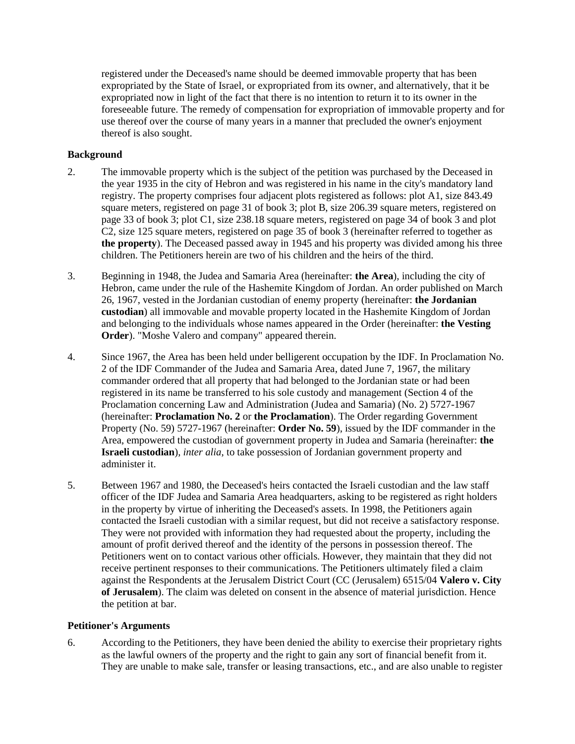registered under the Deceased's name should be deemed immovable property that has been expropriated by the State of Israel, or expropriated from its owner, and alternatively, that it be expropriated now in light of the fact that there is no intention to return it to its owner in the foreseeable future. The remedy of compensation for expropriation of immovable property and for use thereof over the course of many years in a manner that precluded the owner's enjoyment thereof is also sought.

## **Background**

- 2. The immovable property which is the subject of the petition was purchased by the Deceased in the year 1935 in the city of Hebron and was registered in his name in the city's mandatory land registry. The property comprises four adjacent plots registered as follows: plot A1, size 843.49 square meters, registered on page 31 of book 3; plot B, size 206.39 square meters, registered on page 33 of book 3; plot C1, size 238.18 square meters, registered on page 34 of book 3 and plot C2, size 125 square meters, registered on page 35 of book 3 (hereinafter referred to together as **the property**). The Deceased passed away in 1945 and his property was divided among his three children. The Petitioners herein are two of his children and the heirs of the third.
- 3. Beginning in 1948, the Judea and Samaria Area (hereinafter: **the Area**), including the city of Hebron, came under the rule of the Hashemite Kingdom of Jordan. An order published on March 26, 1967, vested in the Jordanian custodian of enemy property (hereinafter: **the Jordanian custodian**) all immovable and movable property located in the Hashemite Kingdom of Jordan and belonging to the individuals whose names appeared in the Order (hereinafter: **the Vesting Order**). "Moshe Valero and company" appeared therein.
- 4. Since 1967, the Area has been held under belligerent occupation by the IDF. In Proclamation No. 2 of the IDF Commander of the Judea and Samaria Area, dated June 7, 1967, the military commander ordered that all property that had belonged to the Jordanian state or had been registered in its name be transferred to his sole custody and management (Section 4 of the Proclamation concerning Law and Administration (Judea and Samaria) (No. 2) 5727-1967 (hereinafter: **Proclamation No. 2** or **the Proclamation**). The Order regarding Government Property (No. 59) 5727-1967 (hereinafter: **Order No. 59**), issued by the IDF commander in the Area, empowered the custodian of government property in Judea and Samaria (hereinafter: **the Israeli custodian**), *inter alia*, to take possession of Jordanian government property and administer it.
- 5. Between 1967 and 1980, the Deceased's heirs contacted the Israeli custodian and the law staff officer of the IDF Judea and Samaria Area headquarters, asking to be registered as right holders in the property by virtue of inheriting the Deceased's assets. In 1998, the Petitioners again contacted the Israeli custodian with a similar request, but did not receive a satisfactory response. They were not provided with information they had requested about the property, including the amount of profit derived thereof and the identity of the persons in possession thereof. The Petitioners went on to contact various other officials. However, they maintain that they did not receive pertinent responses to their communications. The Petitioners ultimately filed a claim against the Respondents at the Jerusalem District Court (CC (Jerusalem) 6515/04 **Valero v. City of Jerusalem**). The claim was deleted on consent in the absence of material jurisdiction. Hence the petition at bar.

#### **Petitioner's Arguments**

6. According to the Petitioners, they have been denied the ability to exercise their proprietary rights as the lawful owners of the property and the right to gain any sort of financial benefit from it. They are unable to make sale, transfer or leasing transactions, etc., and are also unable to register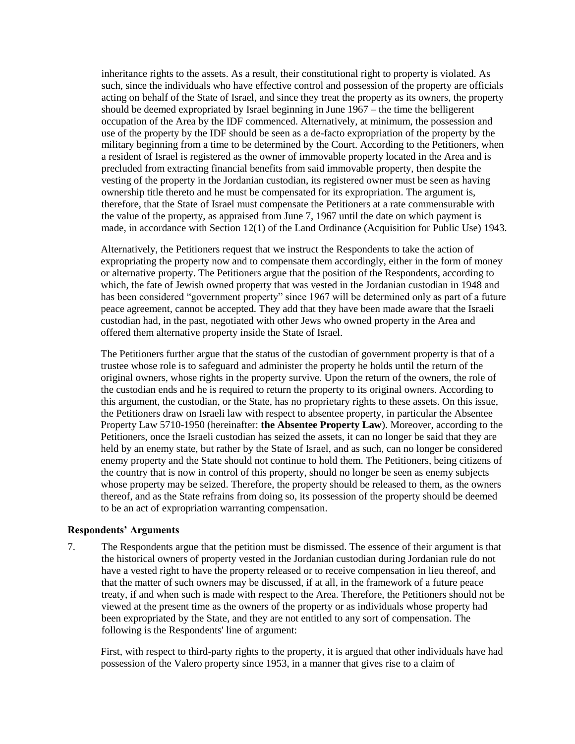inheritance rights to the assets. As a result, their constitutional right to property is violated. As such, since the individuals who have effective control and possession of the property are officials acting on behalf of the State of Israel, and since they treat the property as its owners, the property should be deemed expropriated by Israel beginning in June 1967 – the time the belligerent occupation of the Area by the IDF commenced. Alternatively, at minimum, the possession and use of the property by the IDF should be seen as a de-facto expropriation of the property by the military beginning from a time to be determined by the Court. According to the Petitioners, when a resident of Israel is registered as the owner of immovable property located in the Area and is precluded from extracting financial benefits from said immovable property, then despite the vesting of the property in the Jordanian custodian, its registered owner must be seen as having ownership title thereto and he must be compensated for its expropriation. The argument is, therefore, that the State of Israel must compensate the Petitioners at a rate commensurable with the value of the property, as appraised from June 7, 1967 until the date on which payment is made, in accordance with Section 12(1) of the Land Ordinance (Acquisition for Public Use) 1943.

Alternatively, the Petitioners request that we instruct the Respondents to take the action of expropriating the property now and to compensate them accordingly, either in the form of money or alternative property. The Petitioners argue that the position of the Respondents, according to which, the fate of Jewish owned property that was vested in the Jordanian custodian in 1948 and has been considered "government property" since 1967 will be determined only as part of a future peace agreement, cannot be accepted. They add that they have been made aware that the Israeli custodian had, in the past, negotiated with other Jews who owned property in the Area and offered them alternative property inside the State of Israel.

The Petitioners further argue that the status of the custodian of government property is that of a trustee whose role is to safeguard and administer the property he holds until the return of the original owners, whose rights in the property survive. Upon the return of the owners, the role of the custodian ends and he is required to return the property to its original owners. According to this argument, the custodian, or the State, has no proprietary rights to these assets. On this issue, the Petitioners draw on Israeli law with respect to absentee property, in particular the Absentee Property Law 5710-1950 (hereinafter: **the Absentee Property Law**). Moreover, according to the Petitioners, once the Israeli custodian has seized the assets, it can no longer be said that they are held by an enemy state, but rather by the State of Israel, and as such, can no longer be considered enemy property and the State should not continue to hold them. The Petitioners, being citizens of the country that is now in control of this property, should no longer be seen as enemy subjects whose property may be seized. Therefore, the property should be released to them, as the owners thereof, and as the State refrains from doing so, its possession of the property should be deemed to be an act of expropriation warranting compensation.

#### **Respondents' Arguments**

7. The Respondents argue that the petition must be dismissed. The essence of their argument is that the historical owners of property vested in the Jordanian custodian during Jordanian rule do not have a vested right to have the property released or to receive compensation in lieu thereof, and that the matter of such owners may be discussed, if at all, in the framework of a future peace treaty, if and when such is made with respect to the Area. Therefore, the Petitioners should not be viewed at the present time as the owners of the property or as individuals whose property had been expropriated by the State, and they are not entitled to any sort of compensation. The following is the Respondents' line of argument:

First, with respect to third-party rights to the property, it is argued that other individuals have had possession of the Valero property since 1953, in a manner that gives rise to a claim of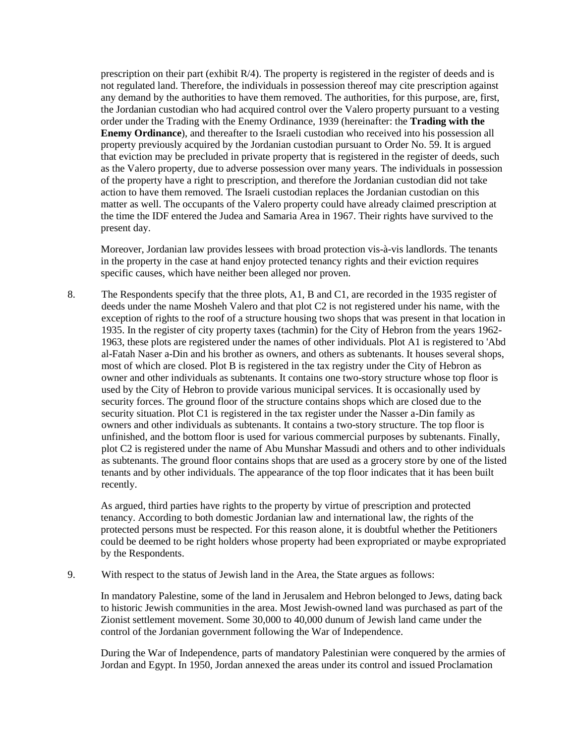prescription on their part (exhibit R/4). The property is registered in the register of deeds and is not regulated land. Therefore, the individuals in possession thereof may cite prescription against any demand by the authorities to have them removed. The authorities, for this purpose, are, first, the Jordanian custodian who had acquired control over the Valero property pursuant to a vesting order under the Trading with the Enemy Ordinance, 1939 (hereinafter: the **Trading with the Enemy Ordinance**), and thereafter to the Israeli custodian who received into his possession all property previously acquired by the Jordanian custodian pursuant to Order No. 59. It is argued that eviction may be precluded in private property that is registered in the register of deeds, such as the Valero property, due to adverse possession over many years. The individuals in possession of the property have a right to prescription, and therefore the Jordanian custodian did not take action to have them removed. The Israeli custodian replaces the Jordanian custodian on this matter as well. The occupants of the Valero property could have already claimed prescription at the time the IDF entered the Judea and Samaria Area in 1967. Their rights have survived to the present day.

Moreover, Jordanian law provides lessees with broad protection vis-à-vis landlords. The tenants in the property in the case at hand enjoy protected tenancy rights and their eviction requires specific causes, which have neither been alleged nor proven.

8. The Respondents specify that the three plots, A1, B and C1, are recorded in the 1935 register of deeds under the name Mosheh Valero and that plot C2 is not registered under his name, with the exception of rights to the roof of a structure housing two shops that was present in that location in 1935. In the register of city property taxes (tachmin) for the City of Hebron from the years 1962- 1963, these plots are registered under the names of other individuals. Plot A1 is registered to 'Abd al-Fatah Naser a-Din and his brother as owners, and others as subtenants. It houses several shops, most of which are closed. Plot B is registered in the tax registry under the City of Hebron as owner and other individuals as subtenants. It contains one two-story structure whose top floor is used by the City of Hebron to provide various municipal services. It is occasionally used by security forces. The ground floor of the structure contains shops which are closed due to the security situation. Plot C1 is registered in the tax register under the Nasser a-Din family as owners and other individuals as subtenants. It contains a two-story structure. The top floor is unfinished, and the bottom floor is used for various commercial purposes by subtenants. Finally, plot C2 is registered under the name of Abu Munshar Massudi and others and to other individuals as subtenants. The ground floor contains shops that are used as a grocery store by one of the listed tenants and by other individuals. The appearance of the top floor indicates that it has been built recently.

As argued, third parties have rights to the property by virtue of prescription and protected tenancy. According to both domestic Jordanian law and international law, the rights of the protected persons must be respected. For this reason alone, it is doubtful whether the Petitioners could be deemed to be right holders whose property had been expropriated or maybe expropriated by the Respondents.

## 9. With respect to the status of Jewish land in the Area, the State argues as follows:

In mandatory Palestine, some of the land in Jerusalem and Hebron belonged to Jews, dating back to historic Jewish communities in the area. Most Jewish-owned land was purchased as part of the Zionist settlement movement. Some 30,000 to 40,000 dunum of Jewish land came under the control of the Jordanian government following the War of Independence.

During the War of Independence, parts of mandatory Palestinian were conquered by the armies of Jordan and Egypt. In 1950, Jordan annexed the areas under its control and issued Proclamation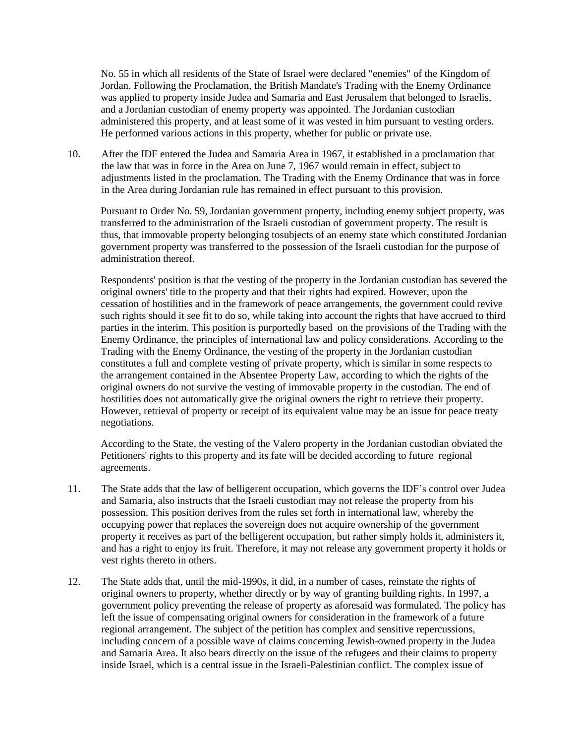No. 55 in which all residents of the State of Israel were declared "enemies" of the Kingdom of Jordan. Following the Proclamation, the British Mandate's Trading with the Enemy Ordinance was applied to property inside Judea and Samaria and East Jerusalem that belonged to Israelis, and a Jordanian custodian of enemy property was appointed. The Jordanian custodian administered this property, and at least some of it was vested in him pursuant to vesting orders. He performed various actions in this property, whether for public or private use.

10. After the IDF entered the Judea and Samaria Area in 1967, it established in a proclamation that the law that was in force in the Area on June 7, 1967 would remain in effect, subject to adjustments listed in the proclamation. The Trading with the Enemy Ordinance that was in force in the Area during Jordanian rule has remained in effect pursuant to this provision.

Pursuant to Order No. 59, Jordanian government property, including enemy subject property, was transferred to the administration of the Israeli custodian of government property. The result is thus, that immovable property belonging tosubjects of an enemy state which constituted Jordanian government property was transferred to the possession of the Israeli custodian for the purpose of administration thereof.

Respondents' position is that the vesting of the property in the Jordanian custodian has severed the original owners' title to the property and that their rights had expired. However, upon the cessation of hostilities and in the framework of peace arrangements, the government could revive such rights should it see fit to do so, while taking into account the rights that have accrued to third parties in the interim. This position is purportedly based on the provisions of the Trading with the Enemy Ordinance, the principles of international law and policy considerations. According to the Trading with the Enemy Ordinance, the vesting of the property in the Jordanian custodian constitutes a full and complete vesting of private property, which is similar in some respects to the arrangement contained in the Absentee Property Law, according to which the rights of the original owners do not survive the vesting of immovable property in the custodian. The end of hostilities does not automatically give the original owners the right to retrieve their property. However, retrieval of property or receipt of its equivalent value may be an issue for peace treaty negotiations.

According to the State, the vesting of the Valero property in the Jordanian custodian obviated the Petitioners' rights to this property and its fate will be decided according to future regional agreements.

- 11. The State adds that the law of belligerent occupation, which governs the IDF's control over Judea and Samaria, also instructs that the Israeli custodian may not release the property from his possession. This position derives from the rules set forth in international law, whereby the occupying power that replaces the sovereign does not acquire ownership of the government property it receives as part of the belligerent occupation, but rather simply holds it, administers it, and has a right to enjoy its fruit. Therefore, it may not release any government property it holds or vest rights thereto in others.
- 12. The State adds that, until the mid-1990s, it did, in a number of cases, reinstate the rights of original owners to property, whether directly or by way of granting building rights. In 1997, a government policy preventing the release of property as aforesaid was formulated. The policy has left the issue of compensating original owners for consideration in the framework of a future regional arrangement. The subject of the petition has complex and sensitive repercussions, including concern of a possible wave of claims concerning Jewish-owned property in the Judea and Samaria Area. It also bears directly on the issue of the refugees and their claims to property inside Israel, which is a central issue in the Israeli-Palestinian conflict. The complex issue of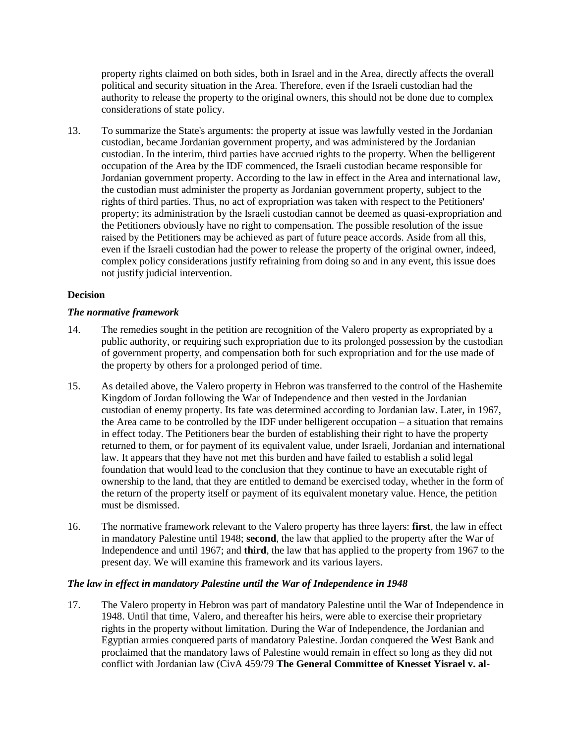property rights claimed on both sides, both in Israel and in the Area, directly affects the overall political and security situation in the Area. Therefore, even if the Israeli custodian had the authority to release the property to the original owners, this should not be done due to complex considerations of state policy.

13. To summarize the State's arguments: the property at issue was lawfully vested in the Jordanian custodian, became Jordanian government property, and was administered by the Jordanian custodian. In the interim, third parties have accrued rights to the property. When the belligerent occupation of the Area by the IDF commenced, the Israeli custodian became responsible for Jordanian government property. According to the law in effect in the Area and international law, the custodian must administer the property as Jordanian government property, subject to the rights of third parties. Thus, no act of expropriation was taken with respect to the Petitioners' property; its administration by the Israeli custodian cannot be deemed as quasi-expropriation and the Petitioners obviously have no right to compensation. The possible resolution of the issue raised by the Petitioners may be achieved as part of future peace accords. Aside from all this, even if the Israeli custodian had the power to release the property of the original owner, indeed, complex policy considerations justify refraining from doing so and in any event, this issue does not justify judicial intervention.

# **Decision**

## *The normative framework*

- 14. The remedies sought in the petition are recognition of the Valero property as expropriated by a public authority, or requiring such expropriation due to its prolonged possession by the custodian of government property, and compensation both for such expropriation and for the use made of the property by others for a prolonged period of time.
- 15. As detailed above, the Valero property in Hebron was transferred to the control of the Hashemite Kingdom of Jordan following the War of Independence and then vested in the Jordanian custodian of enemy property. Its fate was determined according to Jordanian law. Later, in 1967, the Area came to be controlled by the IDF under belligerent occupation – a situation that remains in effect today. The Petitioners bear the burden of establishing their right to have the property returned to them, or for payment of its equivalent value, under Israeli, Jordanian and international law. It appears that they have not met this burden and have failed to establish a solid legal foundation that would lead to the conclusion that they continue to have an executable right of ownership to the land, that they are entitled to demand be exercised today, whether in the form of the return of the property itself or payment of its equivalent monetary value. Hence, the petition must be dismissed.
- 16. The normative framework relevant to the Valero property has three layers: **first**, the law in effect in mandatory Palestine until 1948; **second**, the law that applied to the property after the War of Independence and until 1967; and **third**, the law that has applied to the property from 1967 to the present day. We will examine this framework and its various layers.

## *The law in effect in mandatory Palestine until the War of Independence in 1948*

17. The Valero property in Hebron was part of mandatory Palestine until the War of Independence in 1948. Until that time, Valero, and thereafter his heirs, were able to exercise their proprietary rights in the property without limitation. During the War of Independence, the Jordanian and Egyptian armies conquered parts of mandatory Palestine. Jordan conquered the West Bank and proclaimed that the mandatory laws of Palestine would remain in effect so long as they did not conflict with Jordanian law (CivA 459/79 **The General Committee of Knesset Yisrael v. al-**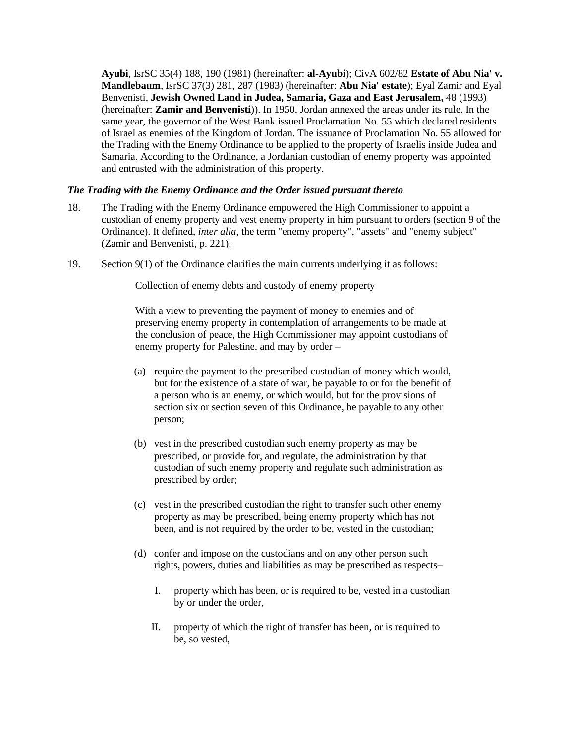**Ayubi**, IsrSC 35(4) 188, 190 (1981) (hereinafter: **al-Ayubi**); CivA 602/82 **Estate of Abu Nia' v. Mandlebaum**, IsrSC 37(3) 281, 287 (1983) (hereinafter: **Abu Nia' estate**); Eyal Zamir and Eyal Benvenisti, **Jewish Owned Land in Judea, Samaria, Gaza and East Jerusalem,** 48 (1993) (hereinafter: **Zamir and Benvenisti**)). In 1950, Jordan annexed the areas under its rule. In the same year, the governor of the West Bank issued Proclamation No. 55 which declared residents of Israel as enemies of the Kingdom of Jordan. The issuance of Proclamation No. 55 allowed for the Trading with the Enemy Ordinance to be applied to the property of Israelis inside Judea and Samaria. According to the Ordinance, a Jordanian custodian of enemy property was appointed and entrusted with the administration of this property.

## *The Trading with the Enemy Ordinance and the Order issued pursuant thereto*

- 18. The Trading with the Enemy Ordinance empowered the High Commissioner to appoint a custodian of enemy property and vest enemy property in him pursuant to orders (section 9 of the Ordinance). It defined, *inter alia*, the term "enemy property", "assets" and "enemy subject" (Zamir and Benvenisti, p. 221).
- 19. Section 9(1) of the Ordinance clarifies the main currents underlying it as follows:

Collection of enemy debts and custody of enemy property

With a view to preventing the payment of money to enemies and of preserving enemy property in contemplation of arrangements to be made at the conclusion of peace, the High Commissioner may appoint custodians of enemy property for Palestine, and may by order –

- (a) require the payment to the prescribed custodian of money which would, but for the existence of a state of war, be payable to or for the benefit of a person who is an enemy, or which would, but for the provisions of section six or section seven of this Ordinance, be payable to any other person;
- (b) vest in the prescribed custodian such enemy property as may be prescribed, or provide for, and regulate, the administration by that custodian of such enemy property and regulate such administration as prescribed by order;
- (c) vest in the prescribed custodian the right to transfer such other enemy property as may be prescribed, being enemy property which has not been, and is not required by the order to be, vested in the custodian;
- (d) confer and impose on the custodians and on any other person such rights, powers, duties and liabilities as may be prescribed as respects–
	- I. property which has been, or is required to be, vested in a custodian by or under the order,
	- II. property of which the right of transfer has been, or is required to be, so vested,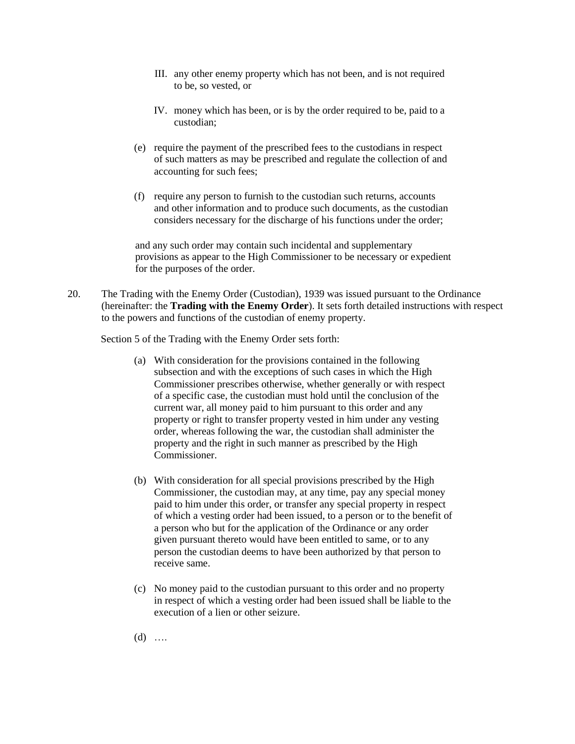- III. any other enemy property which has not been, and is not required to be, so vested, or
- IV. money which has been, or is by the order required to be, paid to a custodian;
- (e) require the payment of the prescribed fees to the custodians in respect of such matters as may be prescribed and regulate the collection of and accounting for such fees;
- (f) require any person to furnish to the custodian such returns, accounts and other information and to produce such documents, as the custodian considers necessary for the discharge of his functions under the order;

and any such order may contain such incidental and supplementary provisions as appear to the High Commissioner to be necessary or expedient for the purposes of the order.

20. The Trading with the Enemy Order (Custodian), 1939 was issued pursuant to the Ordinance (hereinafter: the **Trading with the Enemy Order**). It sets forth detailed instructions with respect to the powers and functions of the custodian of enemy property.

Section 5 of the Trading with the Enemy Order sets forth:

- (a) With consideration for the provisions contained in the following subsection and with the exceptions of such cases in which the High Commissioner prescribes otherwise, whether generally or with respect of a specific case, the custodian must hold until the conclusion of the current war, all money paid to him pursuant to this order and any property or right to transfer property vested in him under any vesting order, whereas following the war, the custodian shall administer the property and the right in such manner as prescribed by the High Commissioner.
- (b) With consideration for all special provisions prescribed by the High Commissioner, the custodian may, at any time, pay any special money paid to him under this order, or transfer any special property in respect of which a vesting order had been issued, to a person or to the benefit of a person who but for the application of the Ordinance or any order given pursuant thereto would have been entitled to same, or to any person the custodian deems to have been authorized by that person to receive same.
- (c) No money paid to the custodian pursuant to this order and no property in respect of which a vesting order had been issued shall be liable to the execution of a lien or other seizure.
- $(d)$  …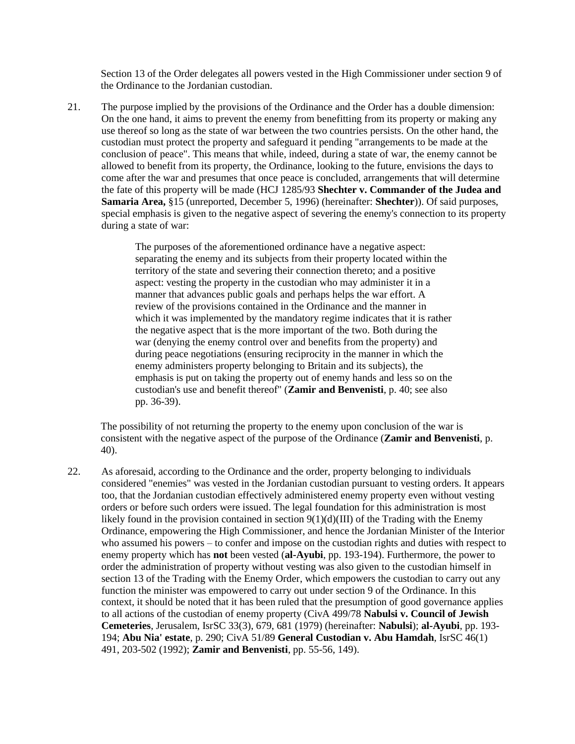Section 13 of the Order delegates all powers vested in the High Commissioner under section 9 of the Ordinance to the Jordanian custodian.

21. The purpose implied by the provisions of the Ordinance and the Order has a double dimension: On the one hand, it aims to prevent the enemy from benefitting from its property or making any use thereof so long as the state of war between the two countries persists. On the other hand, the custodian must protect the property and safeguard it pending "arrangements to be made at the conclusion of peace". This means that while, indeed, during a state of war, the enemy cannot be allowed to benefit from its property, the Ordinance, looking to the future, envisions the days to come after the war and presumes that once peace is concluded, arrangements that will determine the fate of this property will be made (HCJ 1285/93 **Shechter v. Commander of the Judea and Samaria Area,** §15 (unreported, December 5, 1996) (hereinafter: **Shechter**)). Of said purposes, special emphasis is given to the negative aspect of severing the enemy's connection to its property during a state of war:

> The purposes of the aforementioned ordinance have a negative aspect: separating the enemy and its subjects from their property located within the territory of the state and severing their connection thereto; and a positive aspect: vesting the property in the custodian who may administer it in a manner that advances public goals and perhaps helps the war effort. A review of the provisions contained in the Ordinance and the manner in which it was implemented by the mandatory regime indicates that it is rather the negative aspect that is the more important of the two. Both during the war (denying the enemy control over and benefits from the property) and during peace negotiations (ensuring reciprocity in the manner in which the enemy administers property belonging to Britain and its subjects), the emphasis is put on taking the property out of enemy hands and less so on the custodian's use and benefit thereof" (**Zamir and Benvenisti**, p. 40; see also pp. 36-39).

The possibility of not returning the property to the enemy upon conclusion of the war is consistent with the negative aspect of the purpose of the Ordinance (**Zamir and Benvenisti**, p. 40).

22. As aforesaid, according to the Ordinance and the order, property belonging to individuals considered "enemies" was vested in the Jordanian custodian pursuant to vesting orders. It appears too, that the Jordanian custodian effectively administered enemy property even without vesting orders or before such orders were issued. The legal foundation for this administration is most likely found in the provision contained in section  $9(1)(d)(III)$  of the Trading with the Enemy Ordinance, empowering the High Commissioner, and hence the Jordanian Minister of the Interior who assumed his powers – to confer and impose on the custodian rights and duties with respect to enemy property which has **not** been vested (**al-Ayubi**, pp. 193-194). Furthermore, the power to order the administration of property without vesting was also given to the custodian himself in section 13 of the Trading with the Enemy Order, which empowers the custodian to carry out any function the minister was empowered to carry out under section 9 of the Ordinance. In this context, it should be noted that it has been ruled that the presumption of good governance applies to all actions of the custodian of enemy property (CivA 499/78 **Nabulsi v. Council of Jewish Cemeteries**, Jerusalem, IsrSC 33(3), 679, 681 (1979) (hereinafter: **Nabulsi**); **al-Ayubi**, pp. 193- 194; **Abu Nia' estate**, p. 290; CivA 51/89 **General Custodian v. Abu Hamdah**, IsrSC 46(1) 491, 203-502 (1992); **Zamir and Benvenisti**, pp. 55-56, 149).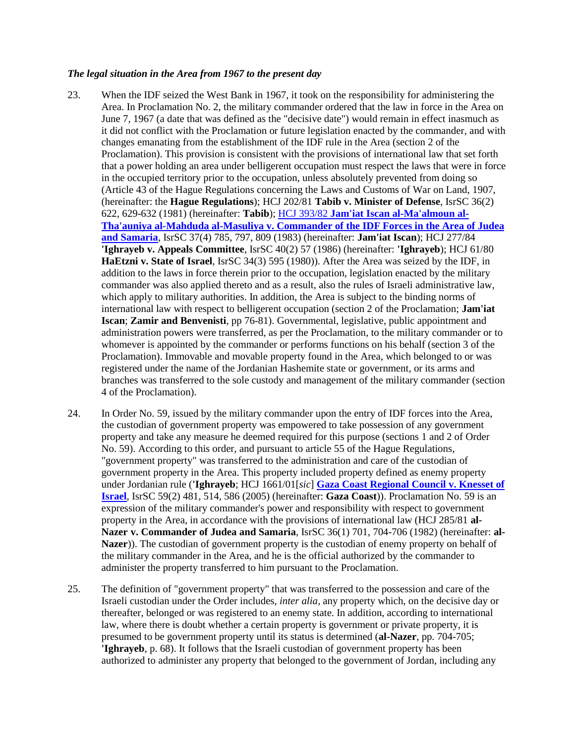#### *The legal situation in the Area from 1967 to the present day*

- 23. When the IDF seized the West Bank in 1967, it took on the responsibility for administering the Area. In Proclamation No. 2, the military commander ordered that the law in force in the Area on June 7, 1967 (a date that was defined as the "decisive date") would remain in effect inasmuch as it did not conflict with the Proclamation or future legislation enacted by the commander, and with changes emanating from the establishment of the IDF rule in the Area (section 2 of the Proclamation). This provision is consistent with the provisions of international law that set forth that a power holding an area under belligerent occupation must respect the laws that were in force in the occupied territory prior to the occupation, unless absolutely prevented from doing so (Article 43 of the Hague Regulations concerning the Laws and Customs of War on Land, 1907, (hereinafter: the **Hague Regulations**); HCJ 202/81 **Tabib v. Minister of Defense**, IsrSC 36(2) 622, 629-632 (1981) (hereinafter: **Tabib**); HCJ 393/82 **[Jam'iat Iscan al-Ma'almoun al-](http://hamoked.org/items/160_eng.pdf)[Tha'auniya al-Mahduda al-Masuliya v. Commander of the IDF Forces in the Area of Judea](http://hamoked.org/items/160_eng.pdf)  [and Samaria](http://hamoked.org/items/160_eng.pdf)**, IsrSC 37(4) 785, 797, 809 (1983) (hereinafter: **Jam'iat Iscan**); HCJ 277/84 **'Ighrayeb v. Appeals Committee**, IsrSC 40(2) 57 (1986) (hereinafter: **'Ighrayeb**); HCJ 61/80 **HaEtzni v. State of Israel**, IsrSC 34(3) 595 (1980)). After the Area was seized by the IDF, in addition to the laws in force therein prior to the occupation, legislation enacted by the military commander was also applied thereto and as a result, also the rules of Israeli administrative law, which apply to military authorities. In addition, the Area is subject to the binding norms of international law with respect to belligerent occupation (section 2 of the Proclamation; **Jam'iat Iscan**; **Zamir and Benvenisti**, pp 76-81). Governmental, legislative, public appointment and administration powers were transferred, as per the Proclamation, to the military commander or to whomever is appointed by the commander or performs functions on his behalf (section 3 of the Proclamation). Immovable and movable property found in the Area, which belonged to or was registered under the name of the Jordanian Hashemite state or government, or its arms and branches was transferred to the sole custody and management of the military commander (section 4 of the Proclamation).
- 24. In Order No. 59, issued by the military commander upon the entry of IDF forces into the Area, the custodian of government property was empowered to take possession of any government property and take any measure he deemed required for this purpose (sections 1 and 2 of Order No. 59). According to this order, and pursuant to article 55 of the Hague Regulations, "government property" was transferred to the administration and care of the custodian of government property in the Area. This property included property defined as enemy property under Jordanian rule (**'Ighrayeb**; HCJ 1661/01[*sic*] **Gaza Coast [Regional Council v. Knesset of](http://www.icrc.org/ihl-nat.nsf/0/11EC2612FDE0F02DC12575BC004A8475)  [Israel](http://www.icrc.org/ihl-nat.nsf/0/11EC2612FDE0F02DC12575BC004A8475)**, IsrSC 59(2) 481, 514, 586 (2005) (hereinafter: **Gaza Coast**)). Proclamation No. 59 is an expression of the military commander's power and responsibility with respect to government property in the Area, in accordance with the provisions of international law (HCJ 285/81 **al-Nazer v. Commander of Judea and Samaria**, IsrSC 36(1) 701, 704-706 (1982) (hereinafter: **al-Nazer**)). The custodian of government property is the custodian of enemy property on behalf of the military commander in the Area, and he is the official authorized by the commander to administer the property transferred to him pursuant to the Proclamation.
- 25. The definition of "government property" that was transferred to the possession and care of the Israeli custodian under the Order includes, *inter alia*, any property which, on the decisive day or thereafter, belonged or was registered to an enemy state. In addition, according to international law, where there is doubt whether a certain property is government or private property, it is presumed to be government property until its status is determined (**al-Nazer**, pp. 704-705; **'Ighrayeb**, p. 68). It follows that the Israeli custodian of government property has been authorized to administer any property that belonged to the government of Jordan, including any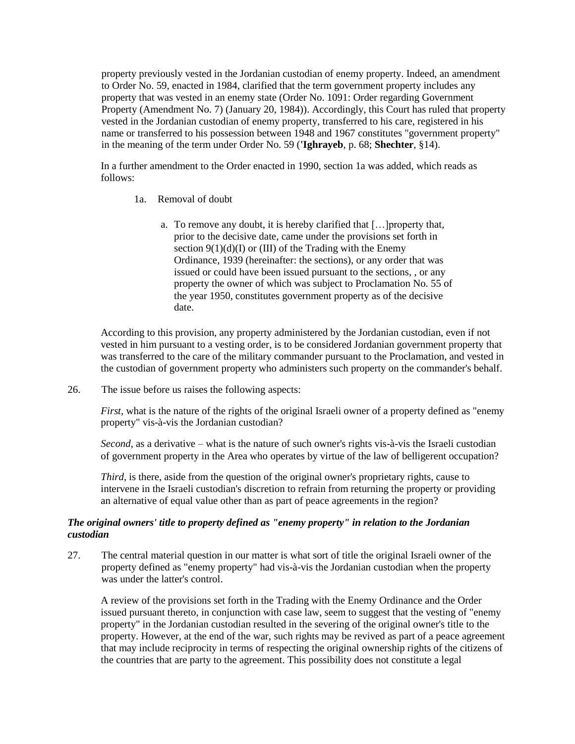property previously vested in the Jordanian custodian of enemy property. Indeed, an amendment to Order No. 59, enacted in 1984, clarified that the term government property includes any property that was vested in an enemy state (Order No. 1091: Order regarding Government Property (Amendment No. 7) (January 20, 1984)). Accordingly, this Court has ruled that property vested in the Jordanian custodian of enemy property, transferred to his care, registered in his name or transferred to his possession between 1948 and 1967 constitutes "government property" in the meaning of the term under Order No. 59 (**'Ighrayeb**, p. 68; **Shechter**, §14).

In a further amendment to the Order enacted in 1990, section 1a was added, which reads as follows:

- 1a. Removal of doubt
	- a. To remove any doubt, it is hereby clarified that […]property that, prior to the decisive date, came under the provisions set forth in section  $9(1)(d)(I)$  or (III) of the Trading with the Enemy Ordinance, 1939 (hereinafter: the sections), or any order that was issued or could have been issued pursuant to the sections, , or any property the owner of which was subject to Proclamation No. 55 of the year 1950, constitutes government property as of the decisive date.

According to this provision, any property administered by the Jordanian custodian, even if not vested in him pursuant to a vesting order, is to be considered Jordanian government property that was transferred to the care of the military commander pursuant to the Proclamation, and vested in the custodian of government property who administers such property on the commander's behalf.

26. The issue before us raises the following aspects:

*First*, what is the nature of the rights of the original Israeli owner of a property defined as "enemy" property" vis-à-vis the Jordanian custodian?

*Second*, as a derivative – what is the nature of such owner's rights vis-à-vis the Israeli custodian of government property in the Area who operates by virtue of the law of belligerent occupation?

*Third*, is there, aside from the question of the original owner's proprietary rights, cause to intervene in the Israeli custodian's discretion to refrain from returning the property or providing an alternative of equal value other than as part of peace agreements in the region?

# *The original owners' title to property defined as "enemy property" in relation to the Jordanian custodian*

27. The central material question in our matter is what sort of title the original Israeli owner of the property defined as "enemy property" had vis-à-vis the Jordanian custodian when the property was under the latter's control.

A review of the provisions set forth in the Trading with the Enemy Ordinance and the Order issued pursuant thereto, in conjunction with case law, seem to suggest that the vesting of "enemy property" in the Jordanian custodian resulted in the severing of the original owner's title to the property. However, at the end of the war, such rights may be revived as part of a peace agreement that may include reciprocity in terms of respecting the original ownership rights of the citizens of the countries that are party to the agreement. This possibility does not constitute a legal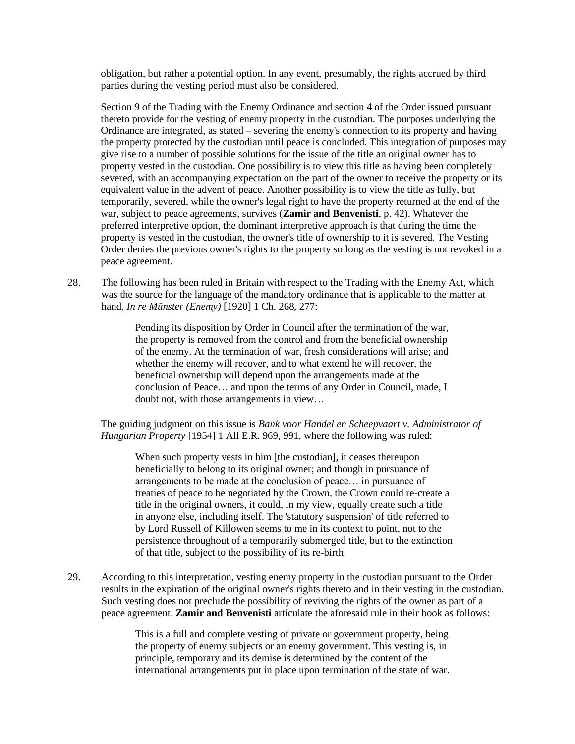obligation, but rather a potential option. In any event, presumably, the rights accrued by third parties during the vesting period must also be considered.

Section 9 of the Trading with the Enemy Ordinance and section 4 of the Order issued pursuant thereto provide for the vesting of enemy property in the custodian. The purposes underlying the Ordinance are integrated, as stated – severing the enemy's connection to its property and having the property protected by the custodian until peace is concluded. This integration of purposes may give rise to a number of possible solutions for the issue of the title an original owner has to property vested in the custodian. One possibility is to view this title as having been completely severed, with an accompanying expectation on the part of the owner to receive the property or its equivalent value in the advent of peace. Another possibility is to view the title as fully, but temporarily, severed, while the owner's legal right to have the property returned at the end of the war, subject to peace agreements, survives (**Zamir and Benvenisti**, p. 42). Whatever the preferred interpretive option, the dominant interpretive approach is that during the time the property is vested in the custodian, the owner's title of ownership to it is severed. The Vesting Order denies the previous owner's rights to the property so long as the vesting is not revoked in a peace agreement.

28. The following has been ruled in Britain with respect to the Trading with the Enemy Act, which was the source for the language of the mandatory ordinance that is applicable to the matter at hand, *In re Münster (Enemy)* [1920] 1 Ch. 268, 277:

> Pending its disposition by Order in Council after the termination of the war, the property is removed from the control and from the beneficial ownership of the enemy. At the termination of war, fresh considerations will arise; and whether the enemy will recover, and to what extend he will recover, the beneficial ownership will depend upon the arrangements made at the conclusion of Peace… and upon the terms of any Order in Council, made, I doubt not, with those arrangements in view…

The guiding judgment on this issue is *Bank voor Handel en Scheepvaart v. Administrator of Hungarian Property* [1954] 1 All E.R. 969, 991, where the following was ruled:

When such property vests in him [the custodian], it ceases thereupon beneficially to belong to its original owner; and though in pursuance of arrangements to be made at the conclusion of peace… in pursuance of treaties of peace to be negotiated by the Crown, the Crown could re-create a title in the original owners, it could, in my view, equally create such a title in anyone else, including itself. The 'statutory suspension' of title referred to by Lord Russell of Killowen seems to me in its context to point, not to the persistence throughout of a temporarily submerged title, but to the extinction of that title, subject to the possibility of its re-birth.

29. According to this interpretation, vesting enemy property in the custodian pursuant to the Order results in the expiration of the original owner's rights thereto and in their vesting in the custodian. Such vesting does not preclude the possibility of reviving the rights of the owner as part of a peace agreement. **Zamir and Benvenisti** articulate the aforesaid rule in their book as follows:

> This is a full and complete vesting of private or government property, being the property of enemy subjects or an enemy government. This vesting is, in principle, temporary and its demise is determined by the content of the international arrangements put in place upon termination of the state of war.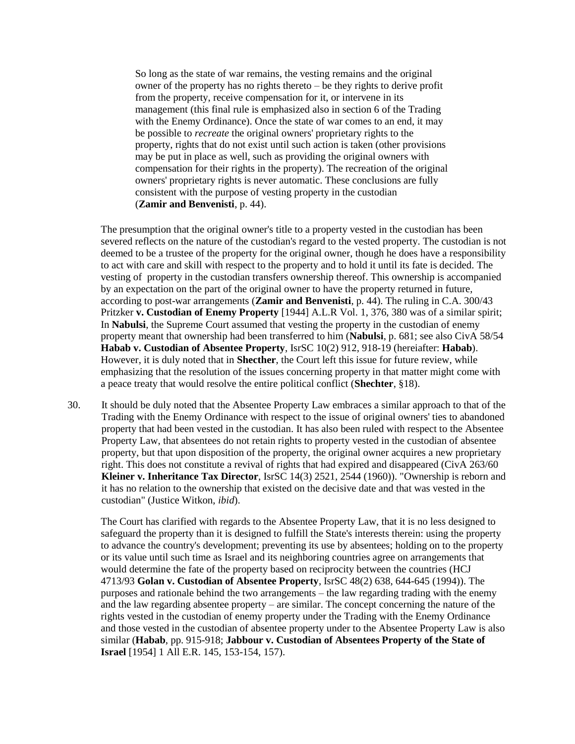So long as the state of war remains, the vesting remains and the original owner of the property has no rights thereto – be they rights to derive profit from the property, receive compensation for it, or intervene in its management (this final rule is emphasized also in section 6 of the Trading with the Enemy Ordinance). Once the state of war comes to an end, it may be possible to *recreate* the original owners' proprietary rights to the property, rights that do not exist until such action is taken (other provisions may be put in place as well, such as providing the original owners with compensation for their rights in the property). The recreation of the original owners' proprietary rights is never automatic. These conclusions are fully consistent with the purpose of vesting property in the custodian (**Zamir and Benvenisti**, p. 44).

The presumption that the original owner's title to a property vested in the custodian has been severed reflects on the nature of the custodian's regard to the vested property. The custodian is not deemed to be a trustee of the property for the original owner, though he does have a responsibility to act with care and skill with respect to the property and to hold it until its fate is decided. The vesting of property in the custodian transfers ownership thereof. This ownership is accompanied by an expectation on the part of the original owner to have the property returned in future, according to post-war arrangements (**Zamir and Benvenisti**, p. 44). The ruling in C.A. 300/43 Pritzker **v. Custodian of Enemy Property** [1944] A.L.R Vol. 1, 376, 380 was of a similar spirit; In **Nabulsi**, the Supreme Court assumed that vesting the property in the custodian of enemy property meant that ownership had been transferred to him (**Nabulsi**, p. 681; see also CivA 58/54 **Habab v. Custodian of Absentee Property**, IsrSC 10(2) 912, 918-19 (hereiafter: **Habab**). However, it is duly noted that in **Shecther**, the Court left this issue for future review, while emphasizing that the resolution of the issues concerning property in that matter might come with a peace treaty that would resolve the entire political conflict (**Shechter**, §18).

30. It should be duly noted that the Absentee Property Law embraces a similar approach to that of the Trading with the Enemy Ordinance with respect to the issue of original owners' ties to abandoned property that had been vested in the custodian. It has also been ruled with respect to the Absentee Property Law, that absentees do not retain rights to property vested in the custodian of absentee property, but that upon disposition of the property, the original owner acquires a new proprietary right. This does not constitute a revival of rights that had expired and disappeared (CivA 263/60 **Kleiner v. Inheritance Tax Director**, IsrSC 14(3) 2521, 2544 (1960)). "Ownership is reborn and it has no relation to the ownership that existed on the decisive date and that was vested in the custodian" (Justice Witkon, *ibid*).

The Court has clarified with regards to the Absentee Property Law, that it is no less designed to safeguard the property than it is designed to fulfill the State's interests therein: using the property to advance the country's development; preventing its use by absentees; holding on to the property or its value until such time as Israel and its neighboring countries agree on arrangements that would determine the fate of the property based on reciprocity between the countries (HCJ 4713/93 **Golan v. Custodian of Absentee Property**, IsrSC 48(2) 638, 644-645 (1994)). The purposes and rationale behind the two arrangements – the law regarding trading with the enemy and the law regarding absentee property – are similar. The concept concerning the nature of the rights vested in the custodian of enemy property under the Trading with the Enemy Ordinance and those vested in the custodian of absentee property under to the Absentee Property Law is also similar (**Habab**, pp. 915-918; **Jabbour v. Custodian of Absentees Property of the State of Israel** [1954] 1 All E.R. 145, 153-154, 157).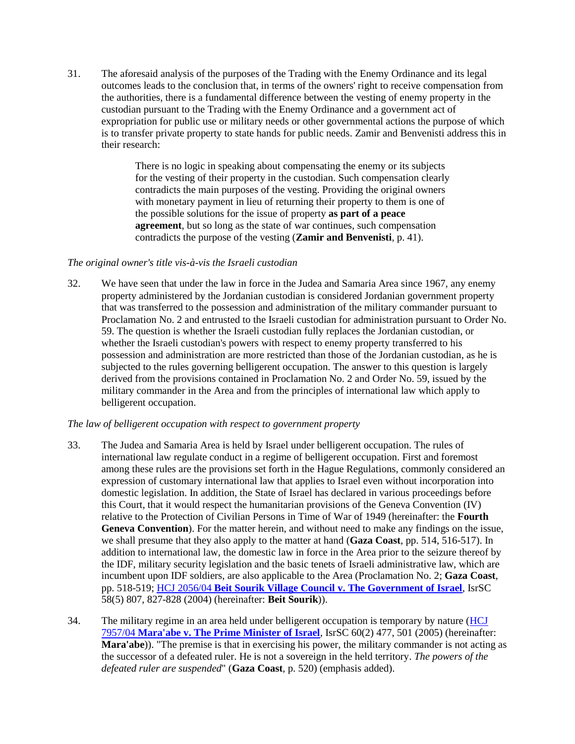31. The aforesaid analysis of the purposes of the Trading with the Enemy Ordinance and its legal outcomes leads to the conclusion that, in terms of the owners' right to receive compensation from the authorities, there is a fundamental difference between the vesting of enemy property in the custodian pursuant to the Trading with the Enemy Ordinance and a government act of expropriation for public use or military needs or other governmental actions the purpose of which is to transfer private property to state hands for public needs. Zamir and Benvenisti address this in their research:

> There is no logic in speaking about compensating the enemy or its subjects for the vesting of their property in the custodian. Such compensation clearly contradicts the main purposes of the vesting. Providing the original owners with monetary payment in lieu of returning their property to them is one of the possible solutions for the issue of property **as part of a peace agreement**, but so long as the state of war continues, such compensation contradicts the purpose of the vesting (**Zamir and Benvenisti**, p. 41).

## *The original owner's title vis-à-vis the Israeli custodian*

32. We have seen that under the law in force in the Judea and Samaria Area since 1967, any enemy property administered by the Jordanian custodian is considered Jordanian government property that was transferred to the possession and administration of the military commander pursuant to Proclamation No. 2 and entrusted to the Israeli custodian for administration pursuant to Order No. 59. The question is whether the Israeli custodian fully replaces the Jordanian custodian, or whether the Israeli custodian's powers with respect to enemy property transferred to his possession and administration are more restricted than those of the Jordanian custodian, as he is subjected to the rules governing belligerent occupation. The answer to this question is largely derived from the provisions contained in Proclamation No. 2 and Order No. 59, issued by the military commander in the Area and from the principles of international law which apply to belligerent occupation.

## *The law of belligerent occupation with respect to government property*

- 33. The Judea and Samaria Area is held by Israel under belligerent occupation. The rules of international law regulate conduct in a regime of belligerent occupation. First and foremost among these rules are the provisions set forth in the Hague Regulations, commonly considered an expression of customary international law that applies to Israel even without incorporation into domestic legislation. In addition, the State of Israel has declared in various proceedings before this Court, that it would respect the humanitarian provisions of the Geneva Convention (IV) relative to the Protection of Civilian Persons in Time of War of 1949 (hereinafter: the **Fourth Geneva Convention**). For the matter herein, and without need to make any findings on the issue, we shall presume that they also apply to the matter at hand (**Gaza Coast**, pp. 514, 516-517). In addition to international law, the domestic law in force in the Area prior to the seizure thereof by the IDF, military security legislation and the basic tenets of Israeli administrative law, which are incumbent upon IDF soldiers, are also applicable to the Area (Proclamation No. 2; **Gaza Coast**, pp. 518-519; HCJ 2056/04 **[Beit Sourik Village Council v. The Government of Israel](http://www.hamoked.org/Document.aspx?dID=6520)**, IsrSC 58(5) 807, 827-828 (2004) (hereinafter: **Beit Sourik**)).
- 34. The military regime in an area held under belligerent occupation is temporary by nature [\(HCJ](http://www.hamoked.org/Document.aspx?dID=6543)  7957/04 **[Mara'abe v. The Prime Minister of Israel](http://www.hamoked.org/Document.aspx?dID=6543)**, IsrSC 60(2) 477, 501 (2005) (hereinafter: **Mara'abe**)). "The premise is that in exercising his power, the military commander is not acting as the successor of a defeated ruler. He is not a sovereign in the held territory. *The powers of the defeated ruler are suspended*" (**Gaza Coast**, p. 520) (emphasis added).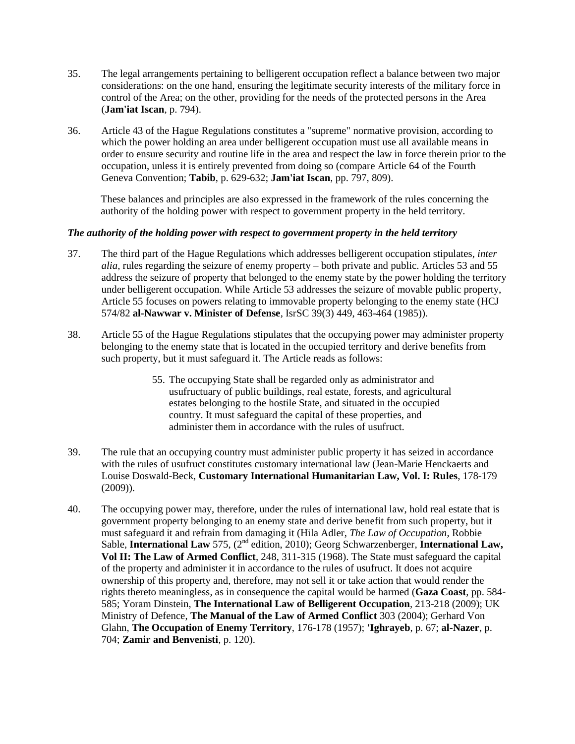- 35. The legal arrangements pertaining to belligerent occupation reflect a balance between two major considerations: on the one hand, ensuring the legitimate security interests of the military force in control of the Area; on the other, providing for the needs of the protected persons in the Area (**Jam'iat Iscan**, p. 794).
- 36. Article 43 of the Hague Regulations constitutes a "supreme" normative provision, according to which the power holding an area under belligerent occupation must use all available means in order to ensure security and routine life in the area and respect the law in force therein prior to the occupation, unless it is entirely prevented from doing so (compare Article 64 of the Fourth Geneva Convention; **Tabib**, p. 629-632; **Jam'iat Iscan**, pp. 797, 809).

These balances and principles are also expressed in the framework of the rules concerning the authority of the holding power with respect to government property in the held territory.

# *The authority of the holding power with respect to government property in the held territory*

- 37. The third part of the Hague Regulations which addresses belligerent occupation stipulates, *inter alia*, rules regarding the seizure of enemy property – both private and public. Articles 53 and 55 address the seizure of property that belonged to the enemy state by the power holding the territory under belligerent occupation. While Article 53 addresses the seizure of movable public property, Article 55 focuses on powers relating to immovable property belonging to the enemy state (HCJ 574/82 **al-Nawwar v. Minister of Defense**, IsrSC 39(3) 449, 463-464 (1985)).
- 38. Article 55 of the Hague Regulations stipulates that the occupying power may administer property belonging to the enemy state that is located in the occupied territory and derive benefits from such property, but it must safeguard it. The Article reads as follows:
	- 55. The occupying State shall be regarded only as administrator and usufructuary of public buildings, real estate, forests, and agricultural estates belonging to the hostile State, and situated in the occupied country. It must safeguard the capital of these properties, and administer them in accordance with the rules of usufruct.
- 39. The rule that an occupying country must administer public property it has seized in accordance with the rules of usufruct constitutes customary international law (Jean-Marie Henckaerts and Louise Doswald-Beck, **Customary International Humanitarian Law, Vol. I: Rules**, 178-179 (2009)).
- 40. The occupying power may, therefore, under the rules of international law, hold real estate that is government property belonging to an enemy state and derive benefit from such property, but it must safeguard it and refrain from damaging it (Hila Adler, *The Law of Occupation*, Robbie Sable, **International Law** 575, (2<sup>nd</sup> edition, 2010); Georg Schwarzenberger, **International Law, Vol II: The Law of Armed Conflict**, 248, 311-315 (1968). The State must safeguard the capital of the property and administer it in accordance to the rules of usufruct. It does not acquire ownership of this property and, therefore, may not sell it or take action that would render the rights thereto meaningless, as in consequence the capital would be harmed (**Gaza Coast**, pp. 584- 585; Yoram Dinstein, **The International Law of Belligerent Occupation**, 213-218 (2009); UK Ministry of Defence, **The Manual of the Law of Armed Conflict** 303 (2004); Gerhard Von Glahn, **The Occupation of Enemy Territory**, 176-178 (1957); **'Ighrayeb**, p. 67; **al-Nazer**, p. 704; **Zamir and Benvenisti**, p. 120).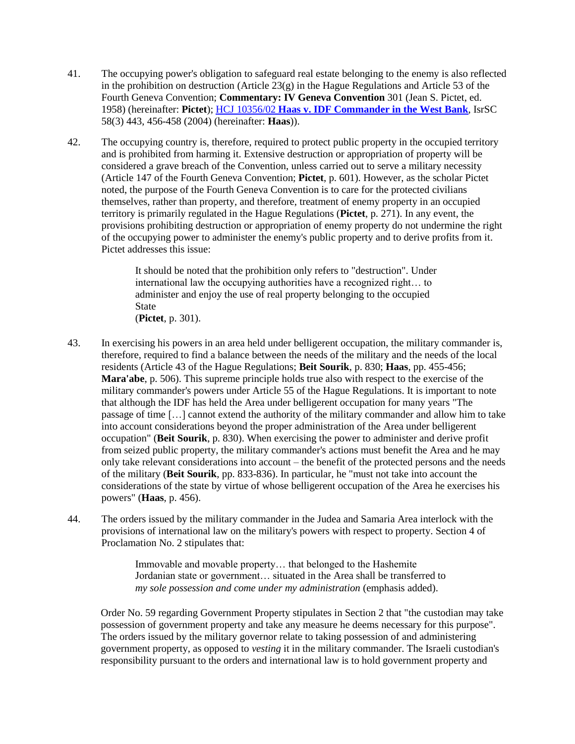- 41. The occupying power's obligation to safeguard real estate belonging to the enemy is also reflected in the prohibition on destruction (Article  $23(g)$  in the Hague Regulations and Article 53 of the Fourth Geneva Convention; **Commentary: IV Geneva Convention** 301 (Jean S. Pictet, ed. 1958) (hereinafter: **Pictet**); HCJ 10356/02 **[Haas v. IDF Commander in the West Bank](http://www.hamoked.org/Document.aspx?dID=8240)**, IsrSC 58(3) 443, 456-458 (2004) (hereinafter: **Haas**)).
- 42. The occupying country is, therefore, required to protect public property in the occupied territory and is prohibited from harming it. Extensive destruction or appropriation of property will be considered a grave breach of the Convention, unless carried out to serve a military necessity (Article 147 of the Fourth Geneva Convention; **Pictet**, p. 601). However, as the scholar Pictet noted, the purpose of the Fourth Geneva Convention is to care for the protected civilians themselves, rather than property, and therefore, treatment of enemy property in an occupied territory is primarily regulated in the Hague Regulations (**Pictet**, p. 271). In any event, the provisions prohibiting destruction or appropriation of enemy property do not undermine the right of the occupying power to administer the enemy's public property and to derive profits from it. Pictet addresses this issue:

It should be noted that the prohibition only refers to "destruction". Under international law the occupying authorities have a recognized right… to administer and enjoy the use of real property belonging to the occupied State

(**Pictet**, p. 301).

- 43. In exercising his powers in an area held under belligerent occupation, the military commander is, therefore, required to find a balance between the needs of the military and the needs of the local residents (Article 43 of the Hague Regulations; **Beit Sourik**, p. 830; **Haas**, pp. 455-456; **Mara'abe**, p. 506). This supreme principle holds true also with respect to the exercise of the military commander's powers under Article 55 of the Hague Regulations. It is important to note that although the IDF has held the Area under belligerent occupation for many years "The passage of time […] cannot extend the authority of the military commander and allow him to take into account considerations beyond the proper administration of the Area under belligerent occupation" (**Beit Sourik**, p. 830). When exercising the power to administer and derive profit from seized public property, the military commander's actions must benefit the Area and he may only take relevant considerations into account – the benefit of the protected persons and the needs of the military (**Beit Sourik**, pp. 833-836). In particular, he "must not take into account the considerations of the state by virtue of whose belligerent occupation of the Area he exercises his powers" (**Haas**, p. 456).
- 44. The orders issued by the military commander in the Judea and Samaria Area interlock with the provisions of international law on the military's powers with respect to property. Section 4 of Proclamation No. 2 stipulates that:

Immovable and movable property… that belonged to the Hashemite Jordanian state or government… situated in the Area shall be transferred to *my sole possession and come under my administration* (emphasis added).

Order No. 59 regarding Government Property stipulates in Section 2 that "the custodian may take possession of government property and take any measure he deems necessary for this purpose". The orders issued by the military governor relate to taking possession of and administering government property, as opposed to *vesting* it in the military commander. The Israeli custodian's responsibility pursuant to the orders and international law is to hold government property and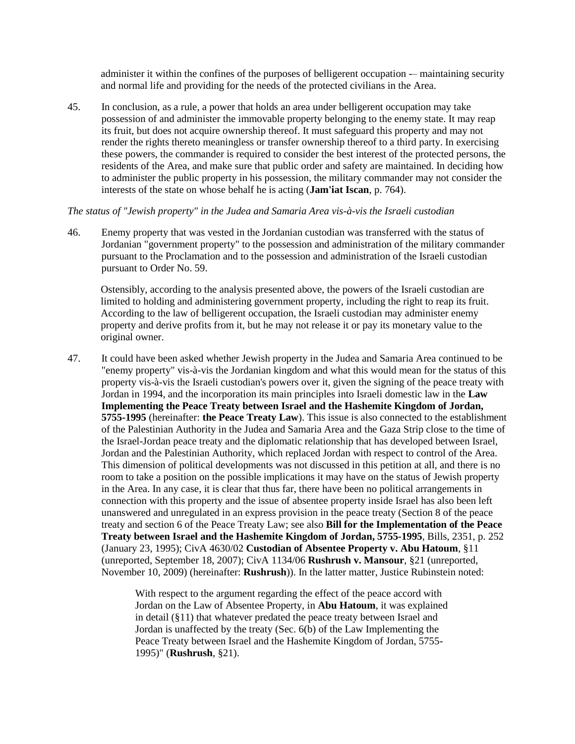administer it within the confines of the purposes of belligerent occupation -– maintaining security and normal life and providing for the needs of the protected civilians in the Area.

45. In conclusion, as a rule, a power that holds an area under belligerent occupation may take possession of and administer the immovable property belonging to the enemy state. It may reap its fruit, but does not acquire ownership thereof. It must safeguard this property and may not render the rights thereto meaningless or transfer ownership thereof to a third party. In exercising these powers, the commander is required to consider the best interest of the protected persons, the residents of the Area, and make sure that public order and safety are maintained. In deciding how to administer the public property in his possession, the military commander may not consider the interests of the state on whose behalf he is acting (**Jam'iat Iscan**, p. 764).

## *The status of "Jewish property" in the Judea and Samaria Area vis-à-vis the Israeli custodian*

46. Enemy property that was vested in the Jordanian custodian was transferred with the status of Jordanian "government property" to the possession and administration of the military commander pursuant to the Proclamation and to the possession and administration of the Israeli custodian pursuant to Order No. 59.

Ostensibly, according to the analysis presented above, the powers of the Israeli custodian are limited to holding and administering government property, including the right to reap its fruit. According to the law of belligerent occupation, the Israeli custodian may administer enemy property and derive profits from it, but he may not release it or pay its monetary value to the original owner.

47. It could have been asked whether Jewish property in the Judea and Samaria Area continued to be "enemy property" vis-à-vis the Jordanian kingdom and what this would mean for the status of this property vis-à-vis the Israeli custodian's powers over it, given the signing of the peace treaty with Jordan in 1994, and the incorporation its main principles into Israeli domestic law in the **Law Implementing the Peace Treaty between Israel and the Hashemite Kingdom of Jordan, 5755-1995** (hereinafter: **the Peace Treaty Law**). This issue is also connected to the establishment of the Palestinian Authority in the Judea and Samaria Area and the Gaza Strip close to the time of the Israel-Jordan peace treaty and the diplomatic relationship that has developed between Israel, Jordan and the Palestinian Authority, which replaced Jordan with respect to control of the Area. This dimension of political developments was not discussed in this petition at all, and there is no room to take a position on the possible implications it may have on the status of Jewish property in the Area. In any case, it is clear that thus far, there have been no political arrangements in connection with this property and the issue of absentee property inside Israel has also been left unanswered and unregulated in an express provision in the peace treaty (Section 8 of the peace treaty and section 6 of the Peace Treaty Law; see also **Bill for the Implementation of the Peace Treaty between Israel and the Hashemite Kingdom of Jordan, 5755-1995**, Bills, 2351, p. 252 (January 23, 1995); CivA 4630/02 **Custodian of Absentee Property v. Abu Hatoum**, §11 (unreported, September 18, 2007); CivA 1134/06 **Rushrush v. Mansour**, §21 (unreported, November 10, 2009) (hereinafter: **Rushrush**)). In the latter matter, Justice Rubinstein noted:

> With respect to the argument regarding the effect of the peace accord with Jordan on the Law of Absentee Property, in **Abu Hatoum**, it was explained in detail (§11) that whatever predated the peace treaty between Israel and Jordan is unaffected by the treaty (Sec. 6(b) of the Law Implementing the Peace Treaty between Israel and the Hashemite Kingdom of Jordan, 5755- 1995)" (**Rushrush**, §21).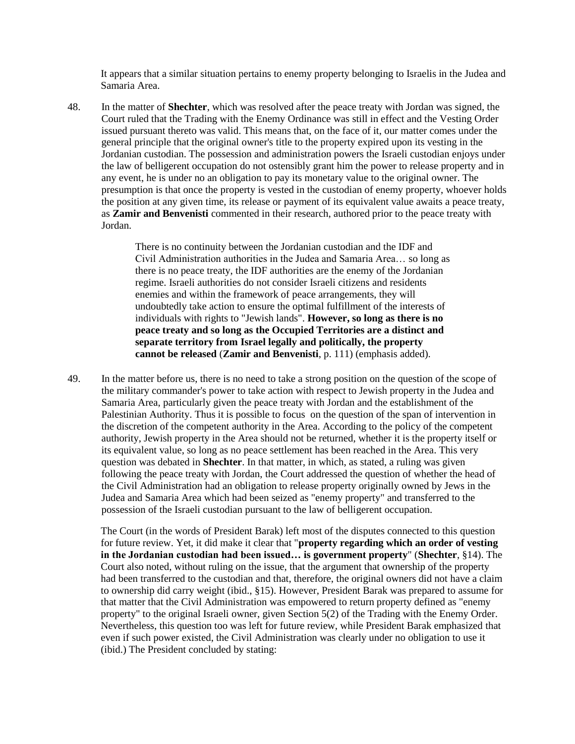It appears that a similar situation pertains to enemy property belonging to Israelis in the Judea and Samaria Area.

48. In the matter of **Shechter**, which was resolved after the peace treaty with Jordan was signed, the Court ruled that the Trading with the Enemy Ordinance was still in effect and the Vesting Order issued pursuant thereto was valid. This means that, on the face of it, our matter comes under the general principle that the original owner's title to the property expired upon its vesting in the Jordanian custodian. The possession and administration powers the Israeli custodian enjoys under the law of belligerent occupation do not ostensibly grant him the power to release property and in any event, he is under no an obligation to pay its monetary value to the original owner. The presumption is that once the property is vested in the custodian of enemy property, whoever holds the position at any given time, its release or payment of its equivalent value awaits a peace treaty, as **Zamir and Benvenisti** commented in their research, authored prior to the peace treaty with Jordan.

> There is no continuity between the Jordanian custodian and the IDF and Civil Administration authorities in the Judea and Samaria Area… so long as there is no peace treaty, the IDF authorities are the enemy of the Jordanian regime. Israeli authorities do not consider Israeli citizens and residents enemies and within the framework of peace arrangements, they will undoubtedly take action to ensure the optimal fulfillment of the interests of individuals with rights to "Jewish lands". **However, so long as there is no peace treaty and so long as the Occupied Territories are a distinct and separate territory from Israel legally and politically, the property cannot be released** (**Zamir and Benvenisti**, p. 111) (emphasis added).

49. In the matter before us, there is no need to take a strong position on the question of the scope of the military commander's power to take action with respect to Jewish property in the Judea and Samaria Area, particularly given the peace treaty with Jordan and the establishment of the Palestinian Authority. Thus it is possible to focus on the question of the span of intervention in the discretion of the competent authority in the Area. According to the policy of the competent authority, Jewish property in the Area should not be returned, whether it is the property itself or its equivalent value, so long as no peace settlement has been reached in the Area. This very question was debated in **Shechter**. In that matter, in which, as stated, a ruling was given following the peace treaty with Jordan, the Court addressed the question of whether the head of the Civil Administration had an obligation to release property originally owned by Jews in the Judea and Samaria Area which had been seized as "enemy property" and transferred to the possession of the Israeli custodian pursuant to the law of belligerent occupation.

The Court (in the words of President Barak) left most of the disputes connected to this question for future review. Yet, it did make it clear that "**property regarding which an order of vesting in the Jordanian custodian had been issued… is government property**" (**Shechter**, §14). The Court also noted, without ruling on the issue, that the argument that ownership of the property had been transferred to the custodian and that, therefore, the original owners did not have a claim to ownership did carry weight (ibid., §15). However, President Barak was prepared to assume for that matter that the Civil Administration was empowered to return property defined as "enemy property" to the original Israeli owner, given Section 5(2) of the Trading with the Enemy Order. Nevertheless, this question too was left for future review, while President Barak emphasized that even if such power existed, the Civil Administration was clearly under no obligation to use it (ibid.) The President concluded by stating: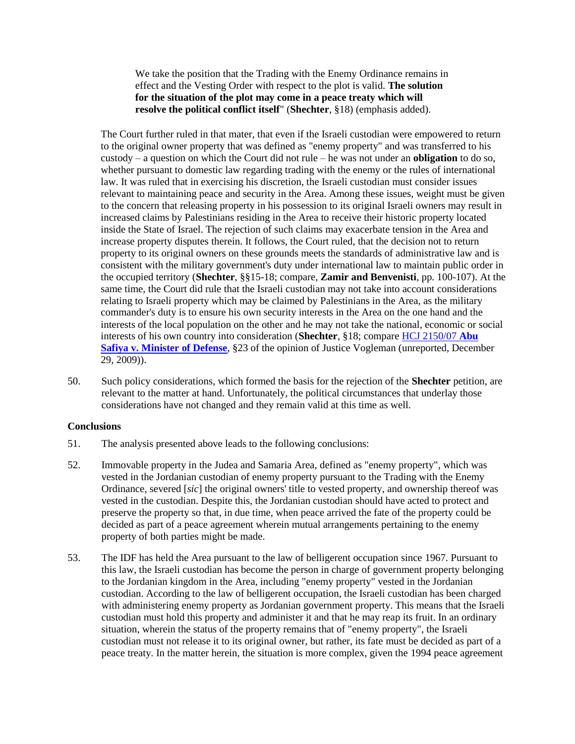We take the position that the Trading with the Enemy Ordinance remains in effect and the Vesting Order with respect to the plot is valid. **The solution for the situation of the plot may come in a peace treaty which will resolve the political conflict itself**" (**Shechter**, §18) (emphasis added).

The Court further ruled in that mater, that even if the Israeli custodian were empowered to return to the original owner property that was defined as "enemy property" and was transferred to his custody – a question on which the Court did not rule – he was not under an **obligation** to do so, whether pursuant to domestic law regarding trading with the enemy or the rules of international law. It was ruled that in exercising his discretion, the Israeli custodian must consider issues relevant to maintaining peace and security in the Area. Among these issues, weight must be given to the concern that releasing property in his possession to its original Israeli owners may result in increased claims by Palestinians residing in the Area to receive their historic property located inside the State of Israel. The rejection of such claims may exacerbate tension in the Area and increase property disputes therein. It follows, the Court ruled, that the decision not to return property to its original owners on these grounds meets the standards of administrative law and is consistent with the military government's duty under international law to maintain public order in the occupied territory (**Shechter**, §§15-18; compare, **Zamir and Benvenisti**, pp. 100-107). At the same time, the Court did rule that the Israeli custodian may not take into account considerations relating to Israeli property which may be claimed by Palestinians in the Area, as the military commander's duty is to ensure his own security interests in the Area on the one hand and the interests of the local population on the other and he may not take the national, economic or social interests of his own country into consideration (**Shechter**, §18; compare [HCJ 2150/07](http://www.hamoked.org/Document.aspx?dID=Documents1046) **Abu [Safiya v. Minister of Defense](http://www.hamoked.org/Document.aspx?dID=Documents1046)**, §23 of the opinion of Justice Vogleman (unreported, December 29, 2009)).

50. Such policy considerations, which formed the basis for the rejection of the **Shechter** petition, are relevant to the matter at hand. Unfortunately, the political circumstances that underlay those considerations have not changed and they remain valid at this time as well.

# **Conclusions**

- 51. The analysis presented above leads to the following conclusions:
- 52. Immovable property in the Judea and Samaria Area, defined as "enemy property", which was vested in the Jordanian custodian of enemy property pursuant to the Trading with the Enemy Ordinance, severed [*sic*] the original owners' title to vested property, and ownership thereof was vested in the custodian. Despite this, the Jordanian custodian should have acted to protect and preserve the property so that, in due time, when peace arrived the fate of the property could be decided as part of a peace agreement wherein mutual arrangements pertaining to the enemy property of both parties might be made.
- 53. The IDF has held the Area pursuant to the law of belligerent occupation since 1967. Pursuant to this law, the Israeli custodian has become the person in charge of government property belonging to the Jordanian kingdom in the Area, including "enemy property" vested in the Jordanian custodian. According to the law of belligerent occupation, the Israeli custodian has been charged with administering enemy property as Jordanian government property. This means that the Israeli custodian must hold this property and administer it and that he may reap its fruit. In an ordinary situation, wherein the status of the property remains that of "enemy property", the Israeli custodian must not release it to its original owner, but rather, its fate must be decided as part of a peace treaty. In the matter herein, the situation is more complex, given the 1994 peace agreement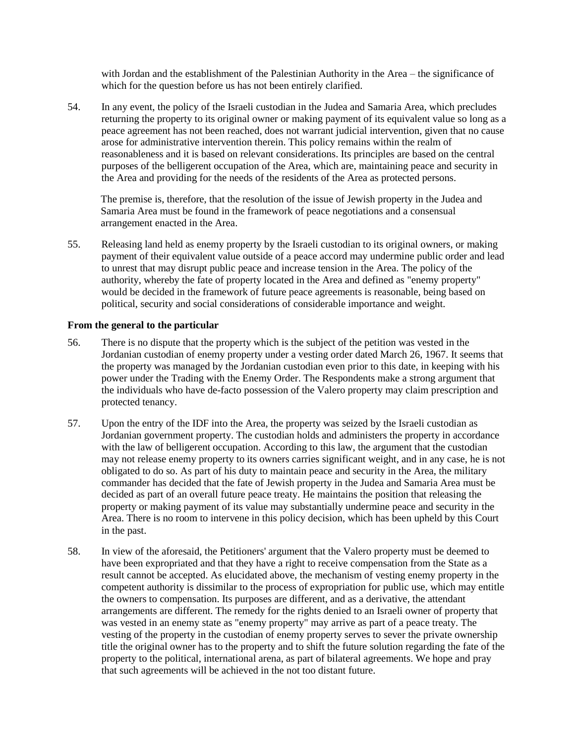with Jordan and the establishment of the Palestinian Authority in the Area – the significance of which for the question before us has not been entirely clarified.

54. In any event, the policy of the Israeli custodian in the Judea and Samaria Area, which precludes returning the property to its original owner or making payment of its equivalent value so long as a peace agreement has not been reached, does not warrant judicial intervention, given that no cause arose for administrative intervention therein. This policy remains within the realm of reasonableness and it is based on relevant considerations. Its principles are based on the central purposes of the belligerent occupation of the Area, which are, maintaining peace and security in the Area and providing for the needs of the residents of the Area as protected persons.

The premise is, therefore, that the resolution of the issue of Jewish property in the Judea and Samaria Area must be found in the framework of peace negotiations and a consensual arrangement enacted in the Area.

55. Releasing land held as enemy property by the Israeli custodian to its original owners, or making payment of their equivalent value outside of a peace accord may undermine public order and lead to unrest that may disrupt public peace and increase tension in the Area. The policy of the authority, whereby the fate of property located in the Area and defined as "enemy property" would be decided in the framework of future peace agreements is reasonable, being based on political, security and social considerations of considerable importance and weight.

## **From the general to the particular**

- 56. There is no dispute that the property which is the subject of the petition was vested in the Jordanian custodian of enemy property under a vesting order dated March 26, 1967. It seems that the property was managed by the Jordanian custodian even prior to this date, in keeping with his power under the Trading with the Enemy Order. The Respondents make a strong argument that the individuals who have de-facto possession of the Valero property may claim prescription and protected tenancy.
- 57. Upon the entry of the IDF into the Area, the property was seized by the Israeli custodian as Jordanian government property. The custodian holds and administers the property in accordance with the law of belligerent occupation. According to this law, the argument that the custodian may not release enemy property to its owners carries significant weight, and in any case, he is not obligated to do so. As part of his duty to maintain peace and security in the Area, the military commander has decided that the fate of Jewish property in the Judea and Samaria Area must be decided as part of an overall future peace treaty. He maintains the position that releasing the property or making payment of its value may substantially undermine peace and security in the Area. There is no room to intervene in this policy decision, which has been upheld by this Court in the past.
- 58. In view of the aforesaid, the Petitioners' argument that the Valero property must be deemed to have been expropriated and that they have a right to receive compensation from the State as a result cannot be accepted. As elucidated above, the mechanism of vesting enemy property in the competent authority is dissimilar to the process of expropriation for public use, which may entitle the owners to compensation. Its purposes are different, and as a derivative, the attendant arrangements are different. The remedy for the rights denied to an Israeli owner of property that was vested in an enemy state as "enemy property" may arrive as part of a peace treaty. The vesting of the property in the custodian of enemy property serves to sever the private ownership title the original owner has to the property and to shift the future solution regarding the fate of the property to the political, international arena, as part of bilateral agreements. We hope and pray that such agreements will be achieved in the not too distant future.